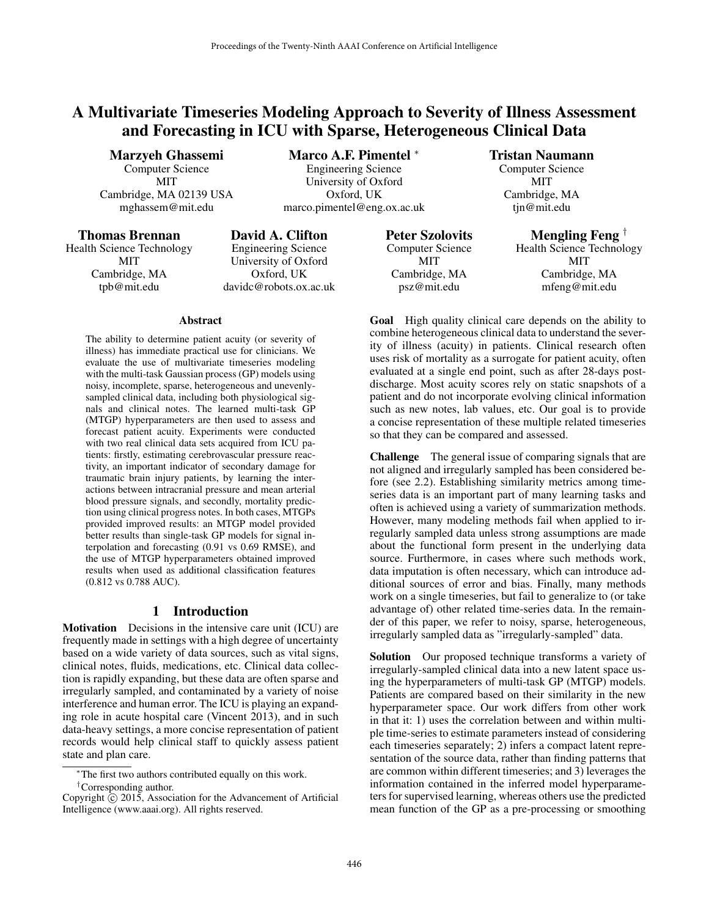# A Multivariate Timeseries Modeling Approach to Severity of Illness Assessment and Forecasting in ICU with Sparse, Heterogeneous Clinical Data

Marzyeh Ghassemi Computer Science MIT Cambridge, MA 02139 USA mghassem@mit.edu

Marco A.F. Pimentel <sup>∗</sup> Engineering Science University of Oxford Oxford, UK

marco.pimentel@eng.ox.ac.uk

### Thomas Brennan

Health Science Technology **MIT** Cambridge, MA tpb@mit.edu

David A. Clifton Engineering Science University of Oxford Oxford, UK davidc@robots.ox.ac.uk

#### **Abstract**

The ability to determine patient acuity (or severity of illness) has immediate practical use for clinicians. We evaluate the use of multivariate timeseries modeling with the multi-task Gaussian process (GP) models using noisy, incomplete, sparse, heterogeneous and unevenlysampled clinical data, including both physiological signals and clinical notes. The learned multi-task GP (MTGP) hyperparameters are then used to assess and forecast patient acuity. Experiments were conducted with two real clinical data sets acquired from ICU patients: firstly, estimating cerebrovascular pressure reactivity, an important indicator of secondary damage for traumatic brain injury patients, by learning the interactions between intracranial pressure and mean arterial blood pressure signals, and secondly, mortality prediction using clinical progress notes. In both cases, MTGPs provided improved results: an MTGP model provided better results than single-task GP models for signal interpolation and forecasting (0.91 vs 0.69 RMSE), and the use of MTGP hyperparameters obtained improved results when used as additional classification features (0.812 vs 0.788 AUC).

### 1 Introduction

Motivation Decisions in the intensive care unit (ICU) are frequently made in settings with a high degree of uncertainty based on a wide variety of data sources, such as vital signs, clinical notes, fluids, medications, etc. Clinical data collection is rapidly expanding, but these data are often sparse and irregularly sampled, and contaminated by a variety of noise interference and human error. The ICU is playing an expanding role in acute hospital care (Vincent 2013), and in such data-heavy settings, a more concise representation of patient records would help clinical staff to quickly assess patient state and plan care.

<sup>∗</sup>The first two authors contributed equally on this work. †Corresponding author.

Peter Szolovits Computer Science MIT Cambridge, MA psz@mit.edu

### Tristan Naumann

Computer Science MIT Cambridge, MA tjn@mit.edu

Mengling Feng †

Health Science Technology MIT Cambridge, MA mfeng@mit.edu

Goal High quality clinical care depends on the ability to combine heterogeneous clinical data to understand the severity of illness (acuity) in patients. Clinical research often uses risk of mortality as a surrogate for patient acuity, often evaluated at a single end point, such as after 28-days postdischarge. Most acuity scores rely on static snapshots of a patient and do not incorporate evolving clinical information such as new notes, lab values, etc. Our goal is to provide a concise representation of these multiple related timeseries so that they can be compared and assessed.

Challenge The general issue of comparing signals that are not aligned and irregularly sampled has been considered before (see 2.2). Establishing similarity metrics among timeseries data is an important part of many learning tasks and often is achieved using a variety of summarization methods. However, many modeling methods fail when applied to irregularly sampled data unless strong assumptions are made about the functional form present in the underlying data source. Furthermore, in cases where such methods work, data imputation is often necessary, which can introduce additional sources of error and bias. Finally, many methods work on a single timeseries, but fail to generalize to (or take advantage of) other related time-series data. In the remainder of this paper, we refer to noisy, sparse, heterogeneous, irregularly sampled data as "irregularly-sampled" data.

Solution Our proposed technique transforms a variety of irregularly-sampled clinical data into a new latent space using the hyperparameters of multi-task GP (MTGP) models. Patients are compared based on their similarity in the new hyperparameter space. Our work differs from other work in that it: 1) uses the correlation between and within multiple time-series to estimate parameters instead of considering each timeseries separately; 2) infers a compact latent representation of the source data, rather than finding patterns that are common within different timeseries; and 3) leverages the information contained in the inferred model hyperparameters for supervised learning, whereas others use the predicted mean function of the GP as a pre-processing or smoothing

Copyright  $\hat{C}$  2015, Association for the Advancement of Artificial Intelligence (www.aaai.org). All rights reserved.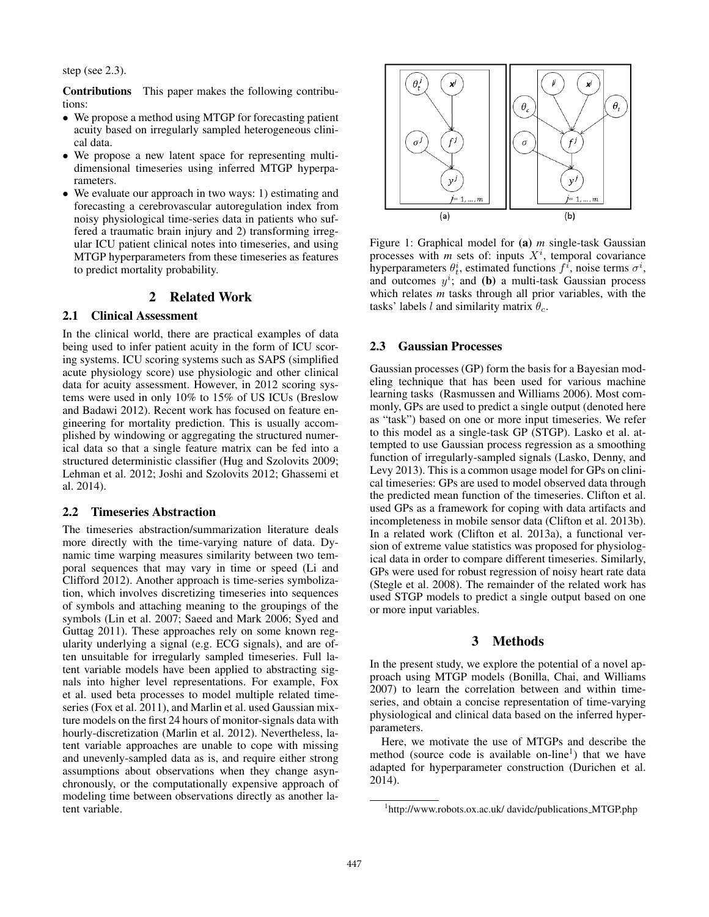step (see 2.3).

Contributions This paper makes the following contributions:

- We propose a method using MTGP for forecasting patient acuity based on irregularly sampled heterogeneous clinical data.
- We propose a new latent space for representing multidimensional timeseries using inferred MTGP hyperparameters.
- We evaluate our approach in two ways: 1) estimating and forecasting a cerebrovascular autoregulation index from noisy physiological time-series data in patients who suffered a traumatic brain injury and 2) transforming irregular ICU patient clinical notes into timeseries, and using MTGP hyperparameters from these timeseries as features to predict mortality probability.

### 2 Related Work

#### 2.1 Clinical Assessment

In the clinical world, there are practical examples of data being used to infer patient acuity in the form of ICU scoring systems. ICU scoring systems such as SAPS (simplified acute physiology score) use physiologic and other clinical data for acuity assessment. However, in 2012 scoring systems were used in only 10% to 15% of US ICUs (Breslow and Badawi 2012). Recent work has focused on feature engineering for mortality prediction. This is usually accomplished by windowing or aggregating the structured numerical data so that a single feature matrix can be fed into a structured deterministic classifier (Hug and Szolovits 2009; Lehman et al. 2012; Joshi and Szolovits 2012; Ghassemi et al. 2014).

#### 2.2 Timeseries Abstraction

The timeseries abstraction/summarization literature deals more directly with the time-varying nature of data. Dynamic time warping measures similarity between two temporal sequences that may vary in time or speed (Li and Clifford 2012). Another approach is time-series symbolization, which involves discretizing timeseries into sequences of symbols and attaching meaning to the groupings of the symbols (Lin et al. 2007; Saeed and Mark 2006; Syed and Guttag 2011). These approaches rely on some known regularity underlying a signal (e.g. ECG signals), and are often unsuitable for irregularly sampled timeseries. Full latent variable models have been applied to abstracting signals into higher level representations. For example, Fox et al. used beta processes to model multiple related timeseries (Fox et al. 2011), and Marlin et al. used Gaussian mixture models on the first 24 hours of monitor-signals data with hourly-discretization (Marlin et al. 2012). Nevertheless, latent variable approaches are unable to cope with missing and unevenly-sampled data as is, and require either strong assumptions about observations when they change asynchronously, or the computationally expensive approach of modeling time between observations directly as another latent variable.



Figure 1: Graphical model for (a) *m* single-task Gaussian processes with  $m$  sets of: inputs  $X<sup>i</sup>$ , temporal covariance hyperparameters  $\theta_t^i$ , estimated functions  $f^i$ , noise terms  $\sigma^i$ , and outcomes  $y^i$ ; and (b) a multi-task Gaussian process which relates *m* tasks through all prior variables, with the tasks' labels l and similarity matrix  $\theta_c$ .

#### 2.3 Gaussian Processes

Gaussian processes (GP) form the basis for a Bayesian modeling technique that has been used for various machine learning tasks (Rasmussen and Williams 2006). Most commonly, GPs are used to predict a single output (denoted here as "task") based on one or more input timeseries. We refer to this model as a single-task GP (STGP). Lasko et al. attempted to use Gaussian process regression as a smoothing function of irregularly-sampled signals (Lasko, Denny, and Levy 2013). This is a common usage model for GPs on clinical timeseries: GPs are used to model observed data through the predicted mean function of the timeseries. Clifton et al. used GPs as a framework for coping with data artifacts and incompleteness in mobile sensor data (Clifton et al. 2013b). In a related work (Clifton et al. 2013a), a functional version of extreme value statistics was proposed for physiological data in order to compare different timeseries. Similarly, GPs were used for robust regression of noisy heart rate data (Stegle et al. 2008). The remainder of the related work has used STGP models to predict a single output based on one or more input variables.

### 3 Methods

In the present study, we explore the potential of a novel approach using MTGP models (Bonilla, Chai, and Williams 2007) to learn the correlation between and within timeseries, and obtain a concise representation of time-varying physiological and clinical data based on the inferred hyperparameters.

Here, we motivate the use of MTGPs and describe the method (source code is available on-line<sup>1</sup>) that we have adapted for hyperparameter construction (Durichen et al. 2014).

<sup>&</sup>lt;sup>1</sup>http://www.robots.ox.ac.uk/ davidc/publications\_MTGP.php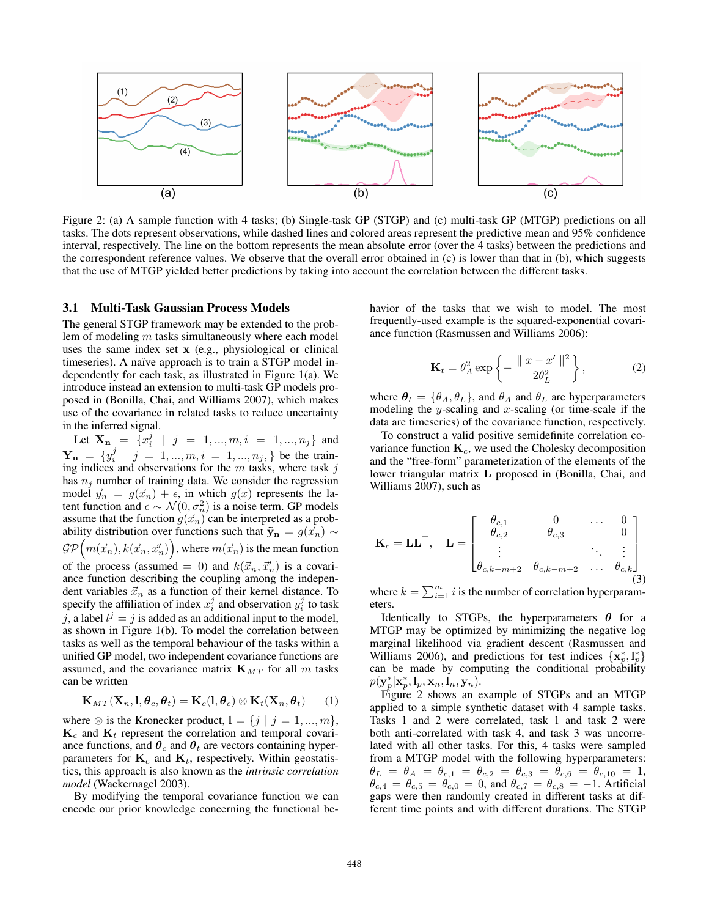

Figure 2: (a) A sample function with 4 tasks; (b) Single-task GP (STGP) and (c) multi-task GP (MTGP) predictions on all tasks. The dots represent observations, while dashed lines and colored areas represent the predictive mean and 95% confidence interval, respectively. The line on the bottom represents the mean absolute error (over the 4 tasks) between the predictions and the correspondent reference values. We observe that the overall error obtained in (c) is lower than that in (b), which suggests that the use of MTGP yielded better predictions by taking into account the correlation between the different tasks.

#### 3.1 Multi-Task Gaussian Process Models

The general STGP framework may be extended to the problem of modeling m tasks simultaneously where each model uses the same index set x (e.g., physiological or clinical timeseries). A naïve approach is to train a STGP model independently for each task, as illustrated in Figure 1(a). We introduce instead an extension to multi-task GP models proposed in (Bonilla, Chai, and Williams 2007), which makes use of the covariance in related tasks to reduce uncertainty in the inferred signal.

Let  $\mathbf{X}_{\mathbf{n}} = \{x_i^j \mid j = 1, ..., m, i = 1, ..., n_j\}$  and  $\mathbf{Y_n} = \{y_i^j \mid j = 1, ..., m, i = 1, ..., n_j\}$  be the training indices and observations for the  $m$  tasks, where task  $j$ has  $n_j$  number of training data. We consider the regression model  $\vec{y}_n = g(\vec{x}_n) + \epsilon$ , in which  $g(x)$  represents the latent function and  $\epsilon \sim \mathcal{N}(0, \sigma_n^2)$  is a noise term. GP models assume that the function  $g(\vec{x}_n)$  can be interpreted as a probability distribution over functions such that  $\tilde{\mathbf{y}}_{n} = g(\vec{x}_{n}) \sim$  $\mathcal{GP}\Big(m(\vec{x}_n), k(\vec{x}_n, \vec{x}'_n)\Big),$  where  $m(\vec{x}_n)$  is the mean function of the process (assumed = 0) and  $k(\vec{x}_n, \vec{x}'_n)$  is a covariance function describing the coupling among the independent variables  $\vec{x}_n$  as a function of their kernel distance. To specify the affiliation of index  $x_i^j$  and observation  $y_i^j$  to task j, a label  $l^j = j$  is added as an additional input to the model, as shown in Figure 1(b). To model the correlation between tasks as well as the temporal behaviour of the tasks within a unified GP model, two independent covariance functions are assumed, and the covariance matrix  $\mathbf{K}_{MT}$  for all m tasks can be written

$$
\mathbf{K}_{MT}(\mathbf{X}_n, \mathbf{l}, \boldsymbol{\theta}_c, \boldsymbol{\theta}_t) = \mathbf{K}_c(\mathbf{l}, \boldsymbol{\theta}_c) \otimes \mathbf{K}_t(\mathbf{X}_n, \boldsymbol{\theta}_t) \qquad (1)
$$

where  $\otimes$  is the Kronecker product,  $l = \{j \mid j = 1, ..., m\},$  $K_c$  and  $K_t$  represent the correlation and temporal covariance functions, and  $\theta_c$  and  $\theta_t$  are vectors containing hyperparameters for  $\mathbf{K}_c$  and  $\mathbf{K}_t$ , respectively. Within geostatistics, this approach is also known as the *intrinsic correlation model* (Wackernagel 2003).

By modifying the temporal covariance function we can encode our prior knowledge concerning the functional behavior of the tasks that we wish to model. The most frequently-used example is the squared-exponential covariance function (Rasmussen and Williams 2006):

$$
\mathbf{K}_t = \theta_A^2 \exp\left\{-\frac{\|x - x'\|^2}{2\theta_L^2}\right\},\tag{2}
$$

where  $\theta_t = {\theta_A, \theta_L}$ , and  $\theta_A$  and  $\theta_L$  are hyperparameters modeling the y-scaling and x-scaling (or time-scale if the data are timeseries) of the covariance function, respectively.

To construct a valid positive semidefinite correlation covariance function  $K_c$ , we used the Cholesky decomposition and the "free-form" parameterization of the elements of the lower triangular matrix L proposed in (Bonilla, Chai, and Williams 2007), such as

$$
\mathbf{K}_{c} = \mathbf{L}\mathbf{L}^{\top}, \quad \mathbf{L} = \begin{bmatrix} \theta_{c,1} & 0 & \cdots & 0 \\ \theta_{c,2} & \theta_{c,3} & & 0 \\ \vdots & & \ddots & \vdots \\ \theta_{c,k-m+2} & \theta_{c,k-m+2} & \cdots & \theta_{c,k} \end{bmatrix}
$$
(3)

where  $k = \sum_{i=1}^{m} i$  is the number of correlation hyperparameters.

Identically to STGPs, the hyperparameters  $\theta$  for a MTGP may be optimized by minimizing the negative log marginal likelihood via gradient descent (Rasmussen and Williams 2006), and predictions for test indices  $\{x_p^*, l_p^*\}$ can be made by computing the conditional probability  $p(\mathbf{y}^*_p|\mathbf{x}^*_p,\mathbf{l}_p,\mathbf{x}_n,\dot{\mathbf{l}}_n,\mathbf{y}_n).$ 

Figure 2 shows an example of STGPs and an MTGP applied to a simple synthetic dataset with 4 sample tasks. Tasks 1 and 2 were correlated, task 1 and task 2 were both anti-correlated with task 4, and task 3 was uncorrelated with all other tasks. For this, 4 tasks were sampled from a MTGP model with the following hyperparameters:  $\theta_L \; = \; \theta_A \; = \; \theta_{c,1} \; = \; \theta_{c,2} \; = \; \theta_{c,3} \; = \; \theta_{c,6} \; = \; \theta_{c,10} \; = \; 1,$  $\theta_{c,4} = \theta_{c,5} = \theta_{c,0} = 0$ , and  $\theta_{c,7} = \theta_{c,8} = -1$ . Artificial gaps were then randomly created in different tasks at different time points and with different durations. The STGP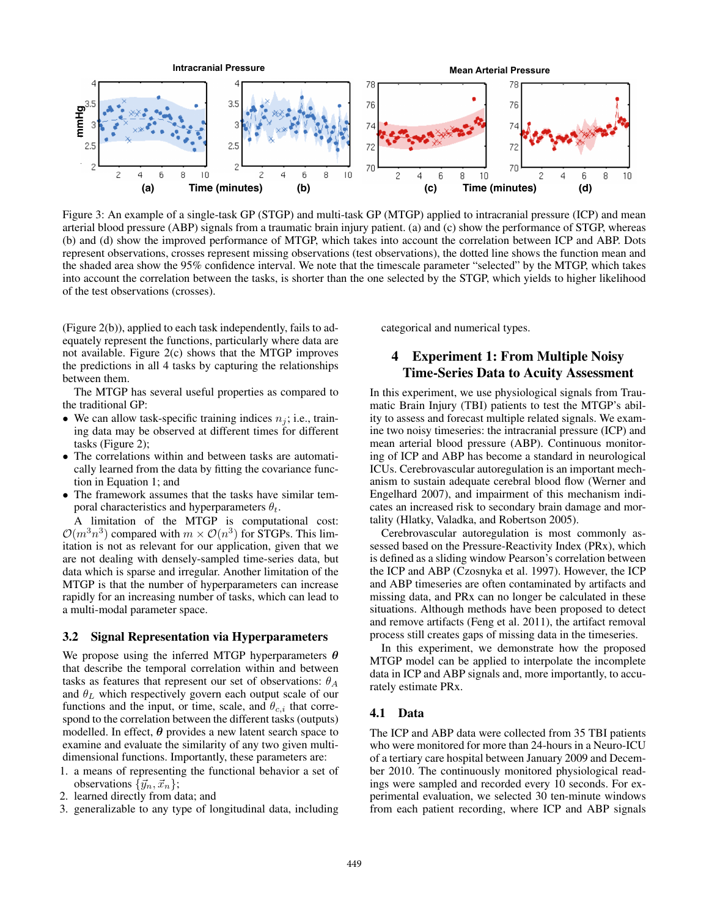

Figure 3: An example of a single-task GP (STGP) and multi-task GP (MTGP) applied to intracranial pressure (ICP) and mean arterial blood pressure (ABP) signals from a traumatic brain injury patient. (a) and (c) show the performance of STGP, whereas (b) and (d) show the improved performance of MTGP, which takes into account the correlation between ICP and ABP. Dots represent observations, crosses represent missing observations (test observations), the dotted line shows the function mean and the shaded area show the 95% confidence interval. We note that the timescale parameter "selected" by the MTGP, which takes into account the correlation between the tasks, is shorter than the one selected by the STGP, which yields to higher likelihood of the test observations (crosses).

(Figure 2(b)), applied to each task independently, fails to adequately represent the functions, particularly where data are not available. Figure 2(c) shows that the MTGP improves the predictions in all 4 tasks by capturing the relationships between them.

The MTGP has several useful properties as compared to the traditional GP:

- We can allow task-specific training indices  $n<sub>i</sub>$ ; i.e., training data may be observed at different times for different tasks (Figure 2);
- The correlations within and between tasks are automatically learned from the data by fitting the covariance function in Equation 1; and
- The framework assumes that the tasks have similar temporal characteristics and hyperparameters  $\theta_t$ .

A limitation of the MTGP is computational cost:  $\mathcal{O}(m^3n^3)$  compared with  $m \times \mathcal{O}(n^3)$  for STGPs. This limitation is not as relevant for our application, given that we are not dealing with densely-sampled time-series data, but data which is sparse and irregular. Another limitation of the MTGP is that the number of hyperparameters can increase rapidly for an increasing number of tasks, which can lead to a multi-modal parameter space.

### 3.2 Signal Representation via Hyperparameters

We propose using the inferred MTGP hyperparameters  $\theta$ that describe the temporal correlation within and between tasks as features that represent our set of observations:  $\theta_A$ and  $\theta_L$  which respectively govern each output scale of our functions and the input, or time, scale, and  $\theta_{c,i}$  that correspond to the correlation between the different tasks (outputs) modelled. In effect,  $\theta$  provides a new latent search space to examine and evaluate the similarity of any two given multidimensional functions. Importantly, these parameters are:

- 1. a means of representing the functional behavior a set of observations  $\{\vec{y}_n, \vec{x}_n\};$
- 2. learned directly from data; and
- 3. generalizable to any type of longitudinal data, including

categorical and numerical types.

# 4 Experiment 1: From Multiple Noisy Time-Series Data to Acuity Assessment

In this experiment, we use physiological signals from Traumatic Brain Injury (TBI) patients to test the MTGP's ability to assess and forecast multiple related signals. We examine two noisy timeseries: the intracranial pressure (ICP) and mean arterial blood pressure (ABP). Continuous monitoring of ICP and ABP has become a standard in neurological ICUs. Cerebrovascular autoregulation is an important mechanism to sustain adequate cerebral blood flow (Werner and Engelhard 2007), and impairment of this mechanism indicates an increased risk to secondary brain damage and mortality (Hlatky, Valadka, and Robertson 2005).

Cerebrovascular autoregulation is most commonly assessed based on the Pressure-Reactivity Index (PRx), which is defined as a sliding window Pearson's correlation between the ICP and ABP (Czosnyka et al. 1997). However, the ICP and ABP timeseries are often contaminated by artifacts and missing data, and PRx can no longer be calculated in these situations. Although methods have been proposed to detect and remove artifacts (Feng et al. 2011), the artifact removal process still creates gaps of missing data in the timeseries.

In this experiment, we demonstrate how the proposed MTGP model can be applied to interpolate the incomplete data in ICP and ABP signals and, more importantly, to accurately estimate PRx.

### 4.1 Data

The ICP and ABP data were collected from 35 TBI patients who were monitored for more than 24-hours in a Neuro-ICU of a tertiary care hospital between January 2009 and December 2010. The continuously monitored physiological readings were sampled and recorded every 10 seconds. For experimental evaluation, we selected 30 ten-minute windows from each patient recording, where ICP and ABP signals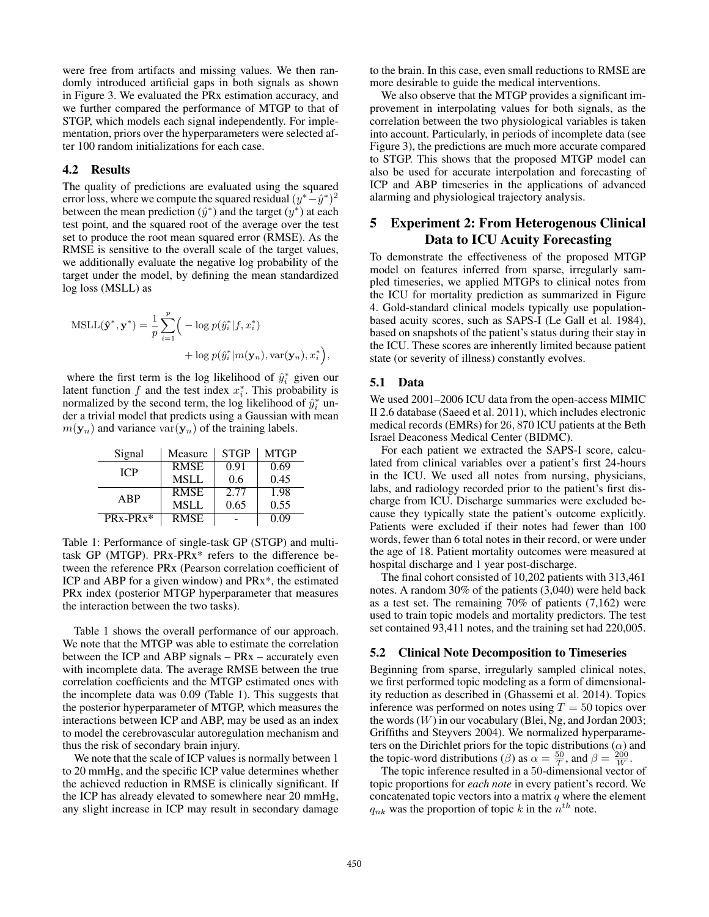were free from artifacts and missing values. We then randomly introduced artificial gaps in both signals as shown in Figure 3. We evaluated the PRx estimation accuracy, and we further compared the performance of MTGP to that of STGP, which models each signal independently. For implementation, priors over the hyperparameters were selected after 100 random initializations for each case.

### 4.2 Results

The quality of predictions are evaluated using the squared error loss, where we compute the squared residual  $(y^*-\hat{y}^*)^2$ between the mean prediction  $(\hat{y}^*)$  and the target  $(y^*)$  at each test point, and the squared root of the average over the test set to produce the root mean squared error (RMSE). As the RMSE is sensitive to the overall scale of the target values, we additionally evaluate the negative log probability of the target under the model, by defining the mean standardized log loss (MSLL) as

$$
\begin{aligned} \text{MSLL}(\hat{\mathbf{y}}^*, \mathbf{y}^*) &= \frac{1}{p} \sum_{i=1}^p \Big( -\log p(\hat{y}_i^* | f, x_i^*) \\ &+ \log p(\hat{y}_i^* | m(\mathbf{y}_n), \text{var}(\mathbf{y}_n), x_i^*) \Big), \end{aligned}
$$

where the first term is the log likelihood of  $\hat{y}_i^*$  given our latent function  $f$  and the test index  $x_i^*$ . This probability is normalized by the second term, the log likelihood of  $\hat{y}_i^*$  under a trivial model that predicts using a Gaussian with mean  $m(\mathbf{y}_n)$  and variance var $(\mathbf{y}_n)$  of the training labels.

| Signal     | Measure     | <b>STGP</b> | MTGP |
|------------|-------------|-------------|------|
| <b>ICP</b> | <b>RMSE</b> | 0.91        | 0.69 |
|            | <b>MSLL</b> | 0.6         | 0.45 |
| ABP        | <b>RMSE</b> | 2.77        | 1.98 |
|            | <b>MSLL</b> | 0.65        | 0.55 |
| $PRx-PRx*$ | <b>RMSE</b> |             | 0.09 |

Table 1: Performance of single-task GP (STGP) and multitask GP (MTGP). PRx-PRx\* refers to the difference between the reference PRx (Pearson correlation coefficient of ICP and ABP for a given window) and PRx\*, the estimated PRx index (posterior MTGP hyperparameter that measures the interaction between the two tasks).

Table 1 shows the overall performance of our approach. We note that the MTGP was able to estimate the correlation between the ICP and ABP signals – PRx – accurately even with incomplete data. The average RMSE between the true correlation coefficients and the MTGP estimated ones with the incomplete data was 0.09 (Table 1). This suggests that the posterior hyperparameter of MTGP, which measures the interactions between ICP and ABP, may be used as an index to model the cerebrovascular autoregulation mechanism and thus the risk of secondary brain injury.

We note that the scale of ICP values is normally between 1 to 20 mmHg, and the specific ICP value determines whether the achieved reduction in RMSE is clinically significant. If the ICP has already elevated to somewhere near 20 mmHg, any slight increase in ICP may result in secondary damage

to the brain. In this case, even small reductions to RMSE are more desirable to guide the medical interventions.

We also observe that the MTGP provides a significant improvement in interpolating values for both signals, as the correlation between the two physiological variables is taken into account. Particularly, in periods of incomplete data (see Figure 3), the predictions are much more accurate compared to STGP. This shows that the proposed MTGP model can also be used for accurate interpolation and forecasting of ICP and ABP timeseries in the applications of advanced alarming and physiological trajectory analysis.

# 5 Experiment 2: From Heterogenous Clinical Data to ICU Acuity Forecasting

To demonstrate the effectiveness of the proposed MTGP model on features inferred from sparse, irregularly sampled timeseries, we applied MTGPs to clinical notes from the ICU for mortality prediction as summarized in Figure 4. Gold-standard clinical models typically use populationbased acuity scores, such as SAPS-I (Le Gall et al. 1984), based on snapshots of the patient's status during their stay in the ICU. These scores are inherently limited because patient state (or severity of illness) constantly evolves.

#### 5.1 Data

We used 2001–2006 ICU data from the open-access MIMIC II 2.6 database (Saeed et al. 2011), which includes electronic medical records (EMRs) for 26, 870 ICU patients at the Beth Israel Deaconess Medical Center (BIDMC).

For each patient we extracted the SAPS-I score, calculated from clinical variables over a patient's first 24-hours in the ICU. We used all notes from nursing, physicians, labs, and radiology recorded prior to the patient's first discharge from ICU. Discharge summaries were excluded because they typically state the patient's outcome explicitly. Patients were excluded if their notes had fewer than 100 words, fewer than 6 total notes in their record, or were under the age of 18. Patient mortality outcomes were measured at hospital discharge and 1 year post-discharge.

The final cohort consisted of 10,202 patients with 313,461 notes. A random 30% of the patients (3,040) were held back as a test set. The remaining 70% of patients (7,162) were used to train topic models and mortality predictors. The test set contained 93,411 notes, and the training set had 220,005.

#### 5.2 Clinical Note Decomposition to Timeseries

Beginning from sparse, irregularly sampled clinical notes, we first performed topic modeling as a form of dimensionality reduction as described in (Ghassemi et al. 2014). Topics inference was performed on notes using  $T = 50$  topics over the words  $(W)$  in our vocabulary (Blei, Ng, and Jordan 2003; Griffiths and Steyvers 2004). We normalized hyperparameters on the Dirichlet priors for the topic distributions  $(\alpha)$  and the topic-word distributions ( $\beta$ ) as  $\alpha = \frac{50}{T}$ , and  $\beta = \frac{200}{W}$ .

The topic inference resulted in a 50-dimensional vector of topic proportions for *each note* in every patient's record. We concatenated topic vectors into a matrix  $q$  where the element  $q_{nk}$  was the proportion of topic k in the  $n^{th}$  note.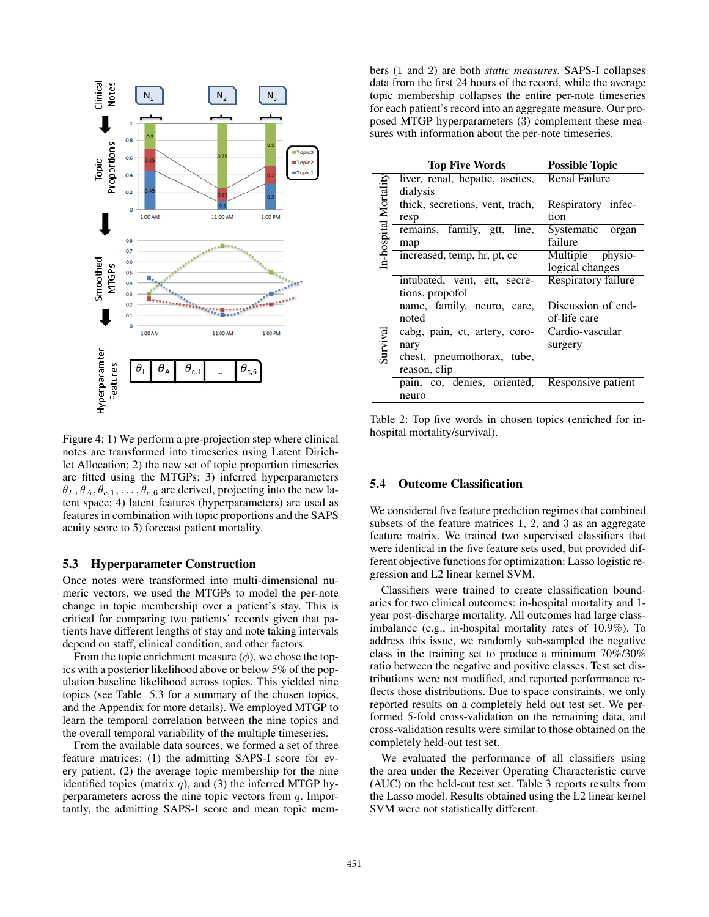

Figure 4: 1) We perform a pre-projection step where clinical notes are transformed into timeseries using Latent Dirichlet Allocation; 2) the new set of topic proportion timeseries are fitted using the MTGPs; 3) inferred hyperparameters  $\theta_L, \theta_A, \theta_{c,1}, \dots, \theta_{c,6}$  are derived, projecting into the new latent space; 4) latent features (hyperparameters) are used as features in combination with topic proportions and the SAPS acuity score to 5) forecast patient mortality.

#### 5.3 Hyperparameter Construction

Once notes were transformed into multi-dimensional numeric vectors, we used the MTGPs to model the per-note change in topic membership over a patient's stay. This is critical for comparing two patients' records given that patients have different lengths of stay and note taking intervals depend on staff, clinical condition, and other factors.

From the topic enrichment measure  $(\phi)$ , we chose the topics with a posterior likelihood above or below 5% of the population baseline likelihood across topics. This yielded nine topics (see Table 5.3 for a summary of the chosen topics, and the Appendix for more details). We employed MTGP to learn the temporal correlation between the nine topics and the overall temporal variability of the multiple timeseries.

From the available data sources, we formed a set of three feature matrices: (1) the admitting SAPS-I score for every patient, (2) the average topic membership for the nine identified topics (matrix  $q$ ), and (3) the inferred MTGP hyperparameters across the nine topic vectors from  $q$ . Importantly, the admitting SAPS-I score and mean topic mem-

bers (1 and 2) are both *static measures*. SAPS-I collapses data from the first 24 hours of the record, while the average topic membership collapses the entire per-note timeseries for each patient's record into an aggregate measure. Our proposed MTGP hyperparameters (3) complement these measures with information about the per-note timeseries.

|                       | <b>Top Five Words</b>           | <b>Possible Topic</b> |  |
|-----------------------|---------------------------------|-----------------------|--|
| In-hospital Mortality | liver, renal, hepatic, ascites, | <b>Renal Failure</b>  |  |
|                       | dialysis                        |                       |  |
|                       | thick, secretions, vent, trach, | Respiratory infec-    |  |
|                       | resp                            | tion                  |  |
|                       | remains, family, gtt,<br>line,  | Systematic<br>organ   |  |
|                       | map                             | failure               |  |
|                       | increased, temp, hr, pt, cc     | Multiple physio-      |  |
|                       |                                 | logical changes       |  |
|                       | intubated, vent, ett, secre-    | Respiratory failure   |  |
|                       | tions, propofol                 |                       |  |
|                       | name, family, neuro, care,      | Discussion of end-    |  |
|                       | noted                           | of-life care          |  |
| Survival              | cabg, pain, ct, artery, coro-   | Cardio-vascular       |  |
|                       | nary                            | surgery               |  |
|                       | chest, pneumothorax, tube,      |                       |  |
|                       | reason, clip                    |                       |  |
|                       | pain, co, denies, oriented,     | Responsive patient    |  |
|                       | neuro                           |                       |  |

Table 2: Top five words in chosen topics (enriched for inhospital mortality/survival).

### 5.4 Outcome Classification

We considered five feature prediction regimes that combined subsets of the feature matrices 1, 2, and 3 as an aggregate feature matrix. We trained two supervised classifiers that were identical in the five feature sets used, but provided different objective functions for optimization: Lasso logistic regression and L2 linear kernel SVM.

Classifiers were trained to create classification boundaries for two clinical outcomes: in-hospital mortality and 1 year post-discharge mortality. All outcomes had large classimbalance (e.g., in-hospital mortality rates of 10.9%). To address this issue, we randomly sub-sampled the negative class in the training set to produce a minimum 70%/30% ratio between the negative and positive classes. Test set distributions were not modified, and reported performance reflects those distributions. Due to space constraints, we only reported results on a completely held out test set. We performed 5-fold cross-validation on the remaining data, and cross-validation results were similar to those obtained on the completely held-out test set.

We evaluated the performance of all classifiers using the area under the Receiver Operating Characteristic curve (AUC) on the held-out test set. Table 3 reports results from the Lasso model. Results obtained using the L2 linear kernel SVM were not statistically different.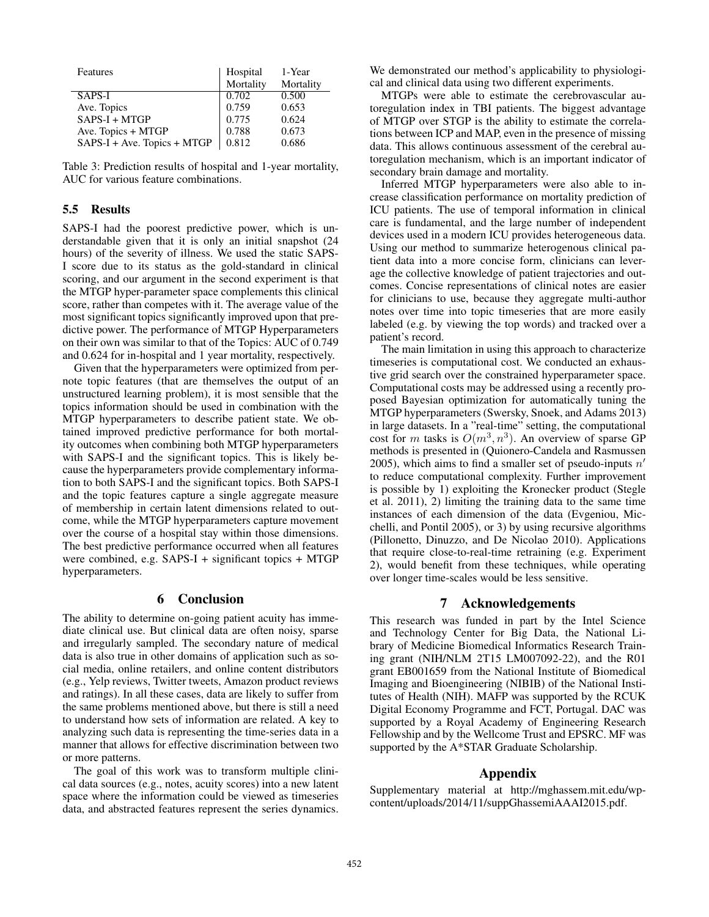| Features                    |                       | 1-Year    |
|-----------------------------|-----------------------|-----------|
|                             | Hospital<br>Mortality | Mortality |
| SAPS-I                      | 0.702                 | 0.500     |
| Ave. Topics                 | 0.759                 | 0.653     |
| $SAPS-I + MTGP$             | 0.775                 | 0.624     |
| Ave. Topics + MTGP          | 0.788                 | 0.673     |
| SAPS-I + Ave. Topics + MTGP | 0.812                 | 0.686     |

Table 3: Prediction results of hospital and 1-year mortality, AUC for various feature combinations.

### 5.5 Results

SAPS-I had the poorest predictive power, which is understandable given that it is only an initial snapshot (24 hours) of the severity of illness. We used the static SAPS-I score due to its status as the gold-standard in clinical scoring, and our argument in the second experiment is that the MTGP hyper-parameter space complements this clinical score, rather than competes with it. The average value of the most significant topics significantly improved upon that predictive power. The performance of MTGP Hyperparameters on their own was similar to that of the Topics: AUC of 0.749 and 0.624 for in-hospital and 1 year mortality, respectively.

Given that the hyperparameters were optimized from pernote topic features (that are themselves the output of an unstructured learning problem), it is most sensible that the topics information should be used in combination with the MTGP hyperparameters to describe patient state. We obtained improved predictive performance for both mortality outcomes when combining both MTGP hyperparameters with SAPS-I and the significant topics. This is likely because the hyperparameters provide complementary information to both SAPS-I and the significant topics. Both SAPS-I and the topic features capture a single aggregate measure of membership in certain latent dimensions related to outcome, while the MTGP hyperparameters capture movement over the course of a hospital stay within those dimensions. The best predictive performance occurred when all features were combined, e.g. SAPS-I + significant topics + MTGP hyperparameters.

# 6 Conclusion

The ability to determine on-going patient acuity has immediate clinical use. But clinical data are often noisy, sparse and irregularly sampled. The secondary nature of medical data is also true in other domains of application such as social media, online retailers, and online content distributors (e.g., Yelp reviews, Twitter tweets, Amazon product reviews and ratings). In all these cases, data are likely to suffer from the same problems mentioned above, but there is still a need to understand how sets of information are related. A key to analyzing such data is representing the time-series data in a manner that allows for effective discrimination between two or more patterns.

The goal of this work was to transform multiple clinical data sources (e.g., notes, acuity scores) into a new latent space where the information could be viewed as timeseries data, and abstracted features represent the series dynamics.

We demonstrated our method's applicability to physiological and clinical data using two different experiments.

MTGPs were able to estimate the cerebrovascular autoregulation index in TBI patients. The biggest advantage of MTGP over STGP is the ability to estimate the correlations between ICP and MAP, even in the presence of missing data. This allows continuous assessment of the cerebral autoregulation mechanism, which is an important indicator of secondary brain damage and mortality.

Inferred MTGP hyperparameters were also able to increase classification performance on mortality prediction of ICU patients. The use of temporal information in clinical care is fundamental, and the large number of independent devices used in a modern ICU provides heterogeneous data. Using our method to summarize heterogenous clinical patient data into a more concise form, clinicians can leverage the collective knowledge of patient trajectories and outcomes. Concise representations of clinical notes are easier for clinicians to use, because they aggregate multi-author notes over time into topic timeseries that are more easily labeled (e.g. by viewing the top words) and tracked over a patient's record.

The main limitation in using this approach to characterize timeseries is computational cost. We conducted an exhaustive grid search over the constrained hyperparameter space. Computational costs may be addressed using a recently proposed Bayesian optimization for automatically tuning the MTGP hyperparameters (Swersky, Snoek, and Adams 2013) in large datasets. In a "real-time" setting, the computational cost for m tasks is  $O(m^3, n^3)$ . An overview of sparse GP methods is presented in (Quionero-Candela and Rasmussen 2005), which aims to find a smaller set of pseudo-inputs  $n'$ to reduce computational complexity. Further improvement is possible by 1) exploiting the Kronecker product (Stegle et al. 2011), 2) limiting the training data to the same time instances of each dimension of the data (Evgeniou, Micchelli, and Pontil 2005), or 3) by using recursive algorithms (Pillonetto, Dinuzzo, and De Nicolao 2010). Applications that require close-to-real-time retraining (e.g. Experiment 2), would benefit from these techniques, while operating over longer time-scales would be less sensitive.

# 7 Acknowledgements

This research was funded in part by the Intel Science and Technology Center for Big Data, the National Library of Medicine Biomedical Informatics Research Training grant (NIH/NLM 2T15 LM007092-22), and the R01 grant EB001659 from the National Institute of Biomedical Imaging and Bioengineering (NIBIB) of the National Institutes of Health (NIH). MAFP was supported by the RCUK Digital Economy Programme and FCT, Portugal. DAC was supported by a Royal Academy of Engineering Research Fellowship and by the Wellcome Trust and EPSRC. MF was supported by the A\*STAR Graduate Scholarship.

### Appendix

Supplementary material at http://mghassem.mit.edu/wpcontent/uploads/2014/11/suppGhassemiAAAI2015.pdf.